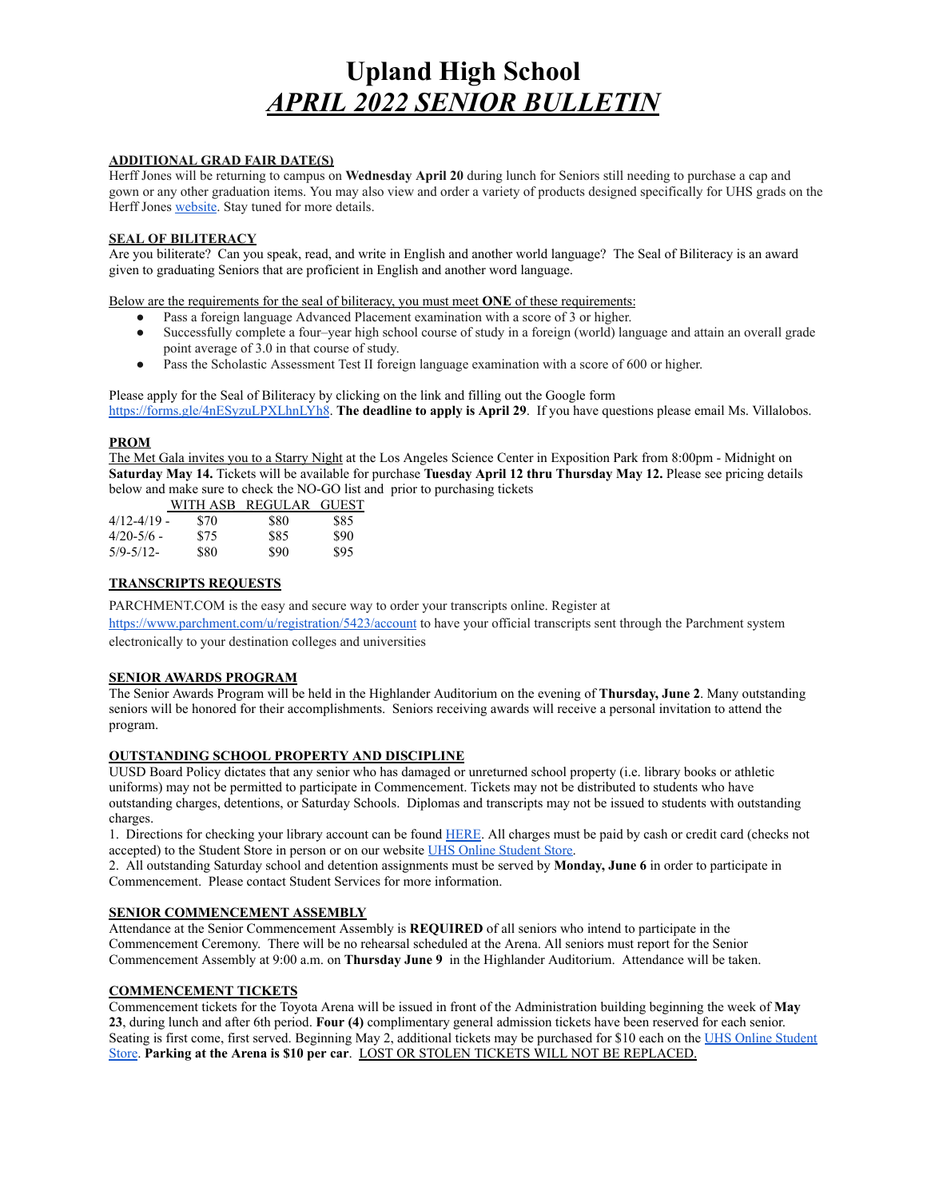# **Upland High School** *APRIL 2022 SENIOR BULLETIN*

#### **ADDITIONAL GRAD FAIR DATE(S)**

Herff Jones will be returning to campus on **Wednesday April 20** during lunch for Seniors still needing to purchase a cap and gown or any other graduation items. You may also view and order a variety of products designed specifically for UHS grads on the Herff Jones [website](https://www.herffjones.com/schools/highschool/04007419000/). Stay tuned for more details.

#### **SEAL OF BILITERACY**

Are you biliterate? Can you speak, read, and write in English and another world language? The Seal of Biliteracy is an award given to graduating Seniors that are proficient in English and another word language.

Below are the requirements for the seal of biliteracy, you must meet **ONE** of these requirements:

- Pass a foreign language Advanced Placement examination with a score of 3 or higher.
- Successfully complete a four–year high school course of study in a foreign (world) language and attain an overall grade point average of 3.0 in that course of study.
- Pass the Scholastic Assessment Test II foreign language examination with a score of 600 or higher.

Please apply for the Seal of Biliteracy by clicking on the link and filling out the Google for[m](https://forms.gle/4nESyzuLPXLhnLYh8) [https://forms.gle/4nESyzuLPXLhnLYh8.](https://forms.gle/4nESyzuLPXLhnLYh8) **The deadline to apply is April 29**. If you have questions please email Ms. Villalobos.

#### **PROM**

The Met Gala invites you to a Starry Night at the Los Angeles Science Center in Exposition Park from 8:00pm - Midnight on **Saturday May 14.** Tickets will be available for purchase **Tuesday April 12 thru Thursday May 12.** Please see pricing details below and make sure to check the NO-GO list and prior to purchasing tickets

|                 | WITH ASB | REGULAR | <b>GUEST</b> |
|-----------------|----------|---------|--------------|
| $4/12 - 4/19$ - | \$70     | \$80    | \$85         |
| $4/20 - 5/6$ –  | \$75     | \$85    | \$90         |
| $5/9 - 5/12$    | \$80     | \$90    | \$95         |

# **TRANSCRIPTS REQUESTS**

PARCHMENT.COM is the easy and secure way to order your transcripts online. Register at

<https://www.parchment.com/u/registration/5423/account> to have your official transcripts sent through the Parchment system electronically to your destination colleges and universities

### **SENIOR AWARDS PROGRAM**

The Senior Awards Program will be held in the Highlander Auditorium on the evening of **Thursday, June 2**. Many outstanding seniors will be honored for their accomplishments. Seniors receiving awards will receive a personal invitation to attend the program.

### **OUTSTANDING SCHOOL PROPERTY AND DISCIPLINE**

UUSD Board Policy dictates that any senior who has damaged or unreturned school property (i.e. library books or athletic uniforms) may not be permitted to participate in Commencement. Tickets may not be distributed to students who have outstanding charges, detentions, or Saturday Schools. Diplomas and transcripts may not be issued to students with outstanding charges.

1. Directions for checking your library account can be found [HERE.](https://uhs.upland.k12.ca.us/student-resources/uhs-library/check-your-library-account) All charges must be paid by cash or credit card (checks not accepted) to the Student Store in person or on our website [UHS Online Student Store.](https://uhs.myschoolcentral.com/asbworks/(S(0uq54ljikwzlbnnah1e3axr5))/apps/webstore/pages/WebStore.aspx)

2. All outstanding Saturday school and detention assignments must be served by **Monday, June 6** in order to participate in Commencement. Please contact Student Services for more information.

#### **SENIOR COMMENCEMENT ASSEMBLY**

Attendance at the Senior Commencement Assembly is **REQUIRED** of all seniors who intend to participate in the Commencement Ceremony. There will be no rehearsal scheduled at the Arena. All seniors must report for the Senior Commencement Assembly at 9:00 a.m. on **Thursday June 9** in the Highlander Auditorium. Attendance will be taken.

### **COMMENCEMENT TICKETS**

Commencement tickets for the Toyota Arena will be issued in front of the Administration building beginning the week of **May 23**, during lunch and after 6th period. **Four (4)** complimentary general admission tickets have been reserved for each senior. Seating is first come, first served. Beginning May 2, additional tickets may be purchased for \$10 each on the [UHS Online Student](https://uhs.myschoolcentral.com/asbworks/(S(0uq54ljikwzlbnnah1e3axr5))/apps/webstore/pages/WebStore.aspx) [Store.](https://uhs.myschoolcentral.com/asbworks/(S(0uq54ljikwzlbnnah1e3axr5))/apps/webstore/pages/WebStore.aspx) **Parking at the Arena is \$10 per car**. LOST OR STOLEN TICKETS WILL NOT BE REPLACED.